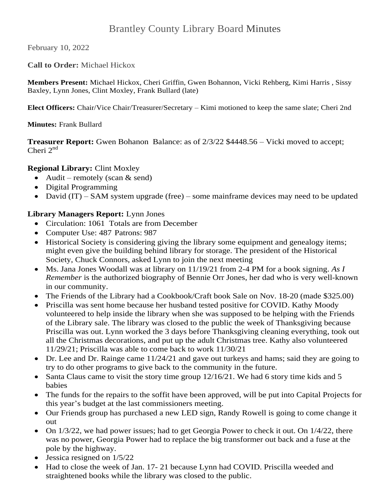# Brantley County Library Board Minutes

February 10, 2022

**Call to Order:** Michael Hickox

**Members Present:** Michael Hickox, Cheri Griffin, Gwen Bohannon, Vicki Rehberg, Kimi Harris , Sissy Baxley, Lynn Jones, Clint Moxley, Frank Bullard (late)

**Elect Officers:** Chair/Vice Chair/Treasurer/Secretary – Kimi motioned to keep the same slate; Cheri 2nd

**Minutes:** Frank Bullard

**Treasurer Report:** Gwen Bohanon Balance: as of  $2/3/22$  \$4448.56 – Vicki moved to accept; Cheri 2<sup>nd</sup>

#### **Regional Library:** Clint Moxley

- Audit remotely (scan  $&$  send)
- Digital Programming
- David (IT) SAM system upgrade (free) some mainframe devices may need to be updated

#### **Library Managers Report:** Lynn Jones

- Circulation: 1061 Totals are from December
- Computer Use: 487 Patrons: 987
- Historical Society is considering giving the library some equipment and genealogy items; might even give the building behind library for storage. The president of the Historical Society, Chuck Connors, asked Lynn to join the next meeting
- Ms. Jana Jones Woodall was at library on 11/19/21 from 2-4 PM for a book signing. *As I Remember* is the authorized biography of Bennie Orr Jones, her dad who is very well-known in our community.
- The Friends of the Library had a Cookbook/Craft book Sale on Nov. 18-20 (made \$325.00)
- Priscilla was sent home because her husband tested positive for COVID. Kathy Moody volunteered to help inside the library when she was supposed to be helping with the Friends of the Library sale. The library was closed to the public the week of Thanksgiving because Priscilla was out. Lynn worked the 3 days before Thanksgiving cleaning everything, took out all the Christmas decorations, and put up the adult Christmas tree. Kathy also volunteered 11/29/21; Priscilla was able to come back to work 11/30/21
- $\bullet$  Dr. Lee and Dr. Rainge came  $11/24/21$  and gave out turkeys and hams; said they are going to try to do other programs to give back to the community in the future.
- Santa Claus came to visit the story time group  $12/16/21$ . We had 6 story time kids and 5 babies
- The funds for the repairs to the soffit have been approved, will be put into Capital Projects for this year's budget at the last commissioners meeting.
- Our Friends group has purchased a new LED sign, Randy Rowell is going to come change it out
- $\bullet$  On 1/3/22, we had power issues; had to get Georgia Power to check it out. On 1/4/22, there was no power, Georgia Power had to replace the big transformer out back and a fuse at the pole by the highway.
- $\bullet$  Jessica resigned on  $1/5/22$
- Had to close the week of Jan. 17- 21 because Lynn had COVID. Priscilla weeded and straightened books while the library was closed to the public.